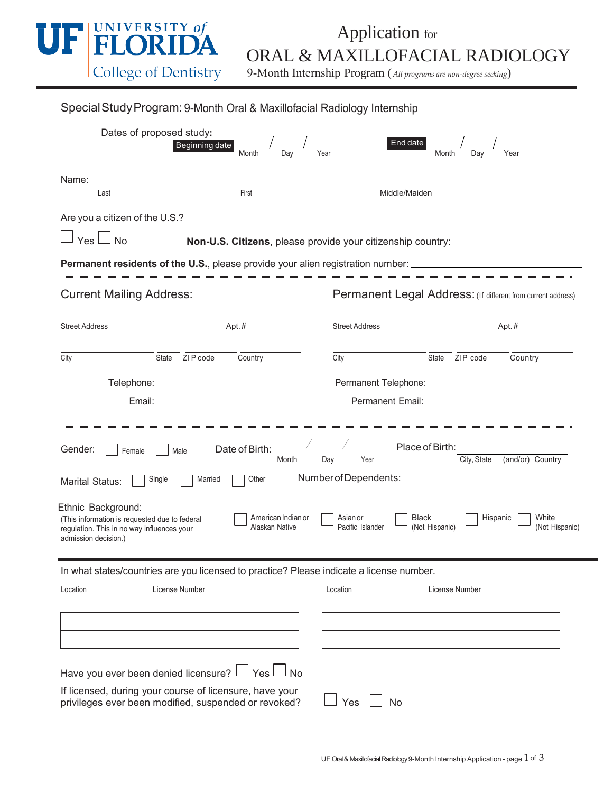

## Application for ORAL & MAXILLOFACIAL RADIOLOGY

9-Month Internship Program (*All programs are non-degree seeking*)

| Special Study Program: 9-Month Oral & Maxillofacial Radiology Internship |  |
|--------------------------------------------------------------------------|--|
|                                                                          |  |

| Dates of proposed study:<br>Beginning date<br>Month                                                                                       | Day<br>Year                                                           | End date<br>Month<br>Day<br>Year                                                 |
|-------------------------------------------------------------------------------------------------------------------------------------------|-----------------------------------------------------------------------|----------------------------------------------------------------------------------|
| Name:<br>First<br>Last                                                                                                                    |                                                                       | Middle/Maiden                                                                    |
| Are you a citizen of the U.S.?<br>$Yes \Box No$                                                                                           |                                                                       | Non-U.S. Citizens, please provide your citizenship country: ____________________ |
| <b>Permanent residents of the U.S.</b> , please provide your alien registration number: ______________________________                    |                                                                       |                                                                                  |
| <b>Current Mailing Address:</b>                                                                                                           |                                                                       | Permanent Legal Address: (If different from current address)                     |
| Apt.#<br><b>Street Address</b>                                                                                                            | <b>Street Address</b>                                                 | Apt.#                                                                            |
| State ZIP code<br>City<br>Country                                                                                                         | City                                                                  | State ZIP code<br>Country                                                        |
|                                                                                                                                           |                                                                       |                                                                                  |
|                                                                                                                                           |                                                                       |                                                                                  |
| Gender:<br>Female<br>Male                                                                                                                 | $\mathcal{F} = \mathcal{F}$<br>Date of Birth:<br>Day<br>Year<br>Month | Place of Birth:<br>City, State<br>(and/or) Country                               |
| Married<br>Single<br>Marital Status:                                                                                                      | Number of Dependents:<br>Other                                        |                                                                                  |
| Ethnic Background:<br>(This information is requested due to federal<br>regulation. This in no way influences your<br>admission decision.) | American Indian or<br>Asian or<br>Alaskan Native<br>Pacific Islander  | Black<br>Hispanic<br>White<br>(Not Hispanic)<br>(Not Hispanic)                   |
| In what states/countries are you licensed to practice? Please indicate a license number.                                                  |                                                                       |                                                                                  |
| Location<br>License Number                                                                                                                | Location                                                              | License Number                                                                   |
|                                                                                                                                           |                                                                       |                                                                                  |
| $\mathcal{L}$                                                                                                                             |                                                                       |                                                                                  |

Have you ever been denied licensure?  $\Box$  Yes  $\Box$  No

If licensed, during your course of licensure, have your privileges ever been modified, suspended or revoked?  $\Box$  Yes  $\Box$  No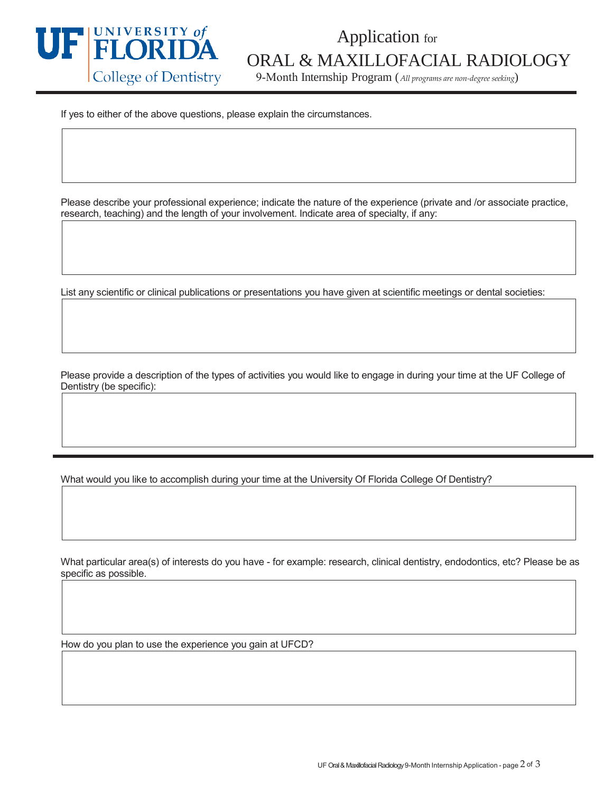

## Application for ORAL & MAXILLOFACIAL RADIOLOGY

9-Month Internship Program (*All programs are non-degree seeking*)

If yes to either of the above questions, please explain the circumstances.

Please describe your professional experience; indicate the nature of the experience (private and /or associate practice, research, teaching) and the length of your involvement. Indicate area of specialty, if any:

List any scientific or clinical publications or presentations you have given at scientific meetings or dental societies:

Please provide a description of the types of activities you would like to engage in during your time at the UF College of Dentistry (be specific):

What would you like to accomplish during your time at the University Of Florida College Of Dentistry?

What particular area(s) of interests do you have - for example: research, clinical dentistry, endodontics, etc? Please be as specific as possible.

How do you plan to use the experience you gain at UFCD?